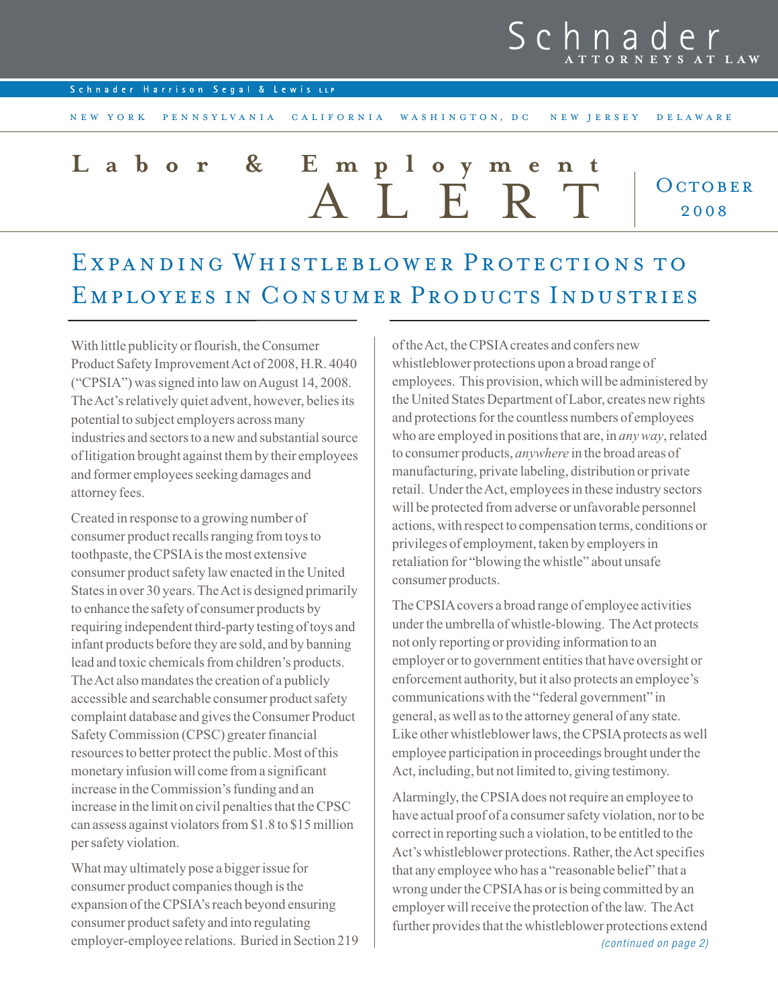# Sch

### OCTOBER 2008 Employme<br>ALER **Labor & Employment**

## EXPANDING WHISTLEBLOWER PROTECTIONS TO Employees in Consumer Products Industries

With little publicity or flourish, the Consumer Product Safety Improvement Act of 2008, H.R. 4040 ("CPSIA") was signed into law on August 14, 2008. The Act's relatively quiet advent, however, belies its potential to subject employers across many industries and sectors to a new and substantial source of litigation brought against them by their employees and former employees seeking damages and attorney fees.

Created in response to a growing number of consumer product recalls ranging from toys to toothpaste, the CPSIAis the most extensive consumer product safety law enacted in the United States in over 30 years. The Act is designed primarily to enhance the safety of consumer products by requiring independent third-party testing of toys and infant products before they are sold, and by banning lead and toxic chemicals from children's products. The Act also mandates the creation of a publicly accessible and searchable consumer product safety complaint database and gives the Consumer Product Safety Commission (CPSC) greater financial resources to better protect the public. Most of this monetary infusion will come from a significant increase in the Commission's funding and an increase in the limit on civil penalties that the CPSC can assess against violators from \$1.8 to \$15 million per safety violation.

What may ultimately pose a bigger issue for consumer product companies though is the expansion of the CPSIA's reach beyond ensuring consumer product safety and into regulating employer-employee relations. Buried in Section 219 of the Act, the CPSIAcreates and confers new whistleblower protections upon a broad range of employees. This provision, which will be administered by the United States Department of Labor, creates new rights and protections for the countless numbers of employees who are employed in positions that are, in *any way*, related to consumer products, anywhere in the broad areas of manufacturing, private labeling, distribution or private retail. Under the Act, employees in these industry sectors will be protected from adverse or unfavorable personnel actions, with respect to compensation terms, conditions or privileges of employment, taken by employers in retaliation for "blowing the whistle" about unsafe consumer products.

The CPSIAcovers a broad range of employee activities under the umbrella of whistle-blowing. The Act protects not only reporting or providing information to an employer or to government entities that have oversight or enforcement authority, but it also protects an employee's communications with the "federal government" in general, as well as to the attorney general of any state. Like other whistleblower laws, the CPSIAprotects as well employee participation in proceedings brought under the Act, including, but not limited to, giving testimony.

Alarmingly, the CPSIAdoes not require an employee to have actual proof of a consumer safety violation, nor to be correct in reporting such a violation, to be entitled to the Act's whistleblower protections. Rather, the Act specifies that any employee who has a "reasonable belief" that a wrong under the CPSIAhas or is being committed by an employer will receive the protection of the law. The Act further provides that the whistleblower protections extend (continued on page 2)